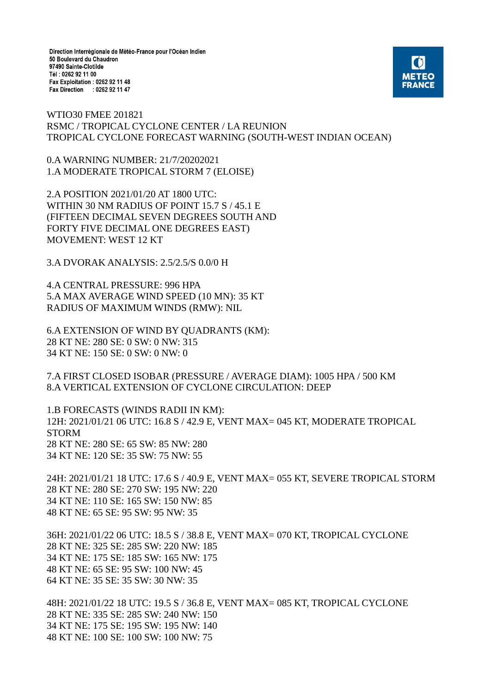Direction Interrégionale de Météo-France pour l'Océan Indien 50 Boulevard du Chaudron 97490 Sainte-Clotilde Tél: 0262 92 11 00 Fax Exploitation : 0262 92 11 48 Fax Direction : 0262 92 11 47



WTIO30 FMEE 201821 RSMC / TROPICAL CYCLONE CENTER / LA REUNION TROPICAL CYCLONE FORECAST WARNING (SOUTH-WEST INDIAN OCEAN)

0.A WARNING NUMBER: 21/7/20202021 1.A MODERATE TROPICAL STORM 7 (ELOISE)

2.A POSITION 2021/01/20 AT 1800 UTC: WITHIN 30 NM RADIUS OF POINT 15.7 S / 45.1 E (FIFTEEN DECIMAL SEVEN DEGREES SOUTH AND FORTY FIVE DECIMAL ONE DEGREES EAST) MOVEMENT: WEST 12 KT

3.A DVORAK ANALYSIS: 2.5/2.5/S 0.0/0 H

4.A CENTRAL PRESSURE: 996 HPA 5.A MAX AVERAGE WIND SPEED (10 MN): 35 KT RADIUS OF MAXIMUM WINDS (RMW): NIL

6.A EXTENSION OF WIND BY QUADRANTS (KM): 28 KT NE: 280 SE: 0 SW: 0 NW: 315 34 KT NE: 150 SE: 0 SW: 0 NW: 0

7.A FIRST CLOSED ISOBAR (PRESSURE / AVERAGE DIAM): 1005 HPA / 500 KM 8.A VERTICAL EXTENSION OF CYCLONE CIRCULATION: DEEP

1.B FORECASTS (WINDS RADII IN KM): 12H: 2021/01/21 06 UTC: 16.8 S / 42.9 E, VENT MAX= 045 KT, MODERATE TROPICAL STORM 28 KT NE: 280 SE: 65 SW: 85 NW: 280 34 KT NE: 120 SE: 35 SW: 75 NW: 55

24H: 2021/01/21 18 UTC: 17.6 S / 40.9 E, VENT MAX= 055 KT, SEVERE TROPICAL STORM 28 KT NE: 280 SE: 270 SW: 195 NW: 220 34 KT NE: 110 SE: 165 SW: 150 NW: 85 48 KT NE: 65 SE: 95 SW: 95 NW: 35

36H: 2021/01/22 06 UTC: 18.5 S / 38.8 E, VENT MAX= 070 KT, TROPICAL CYCLONE 28 KT NE: 325 SE: 285 SW: 220 NW: 185 34 KT NE: 175 SE: 185 SW: 165 NW: 175 48 KT NE: 65 SE: 95 SW: 100 NW: 45 64 KT NE: 35 SE: 35 SW: 30 NW: 35

48H: 2021/01/22 18 UTC: 19.5 S / 36.8 E, VENT MAX= 085 KT, TROPICAL CYCLONE 28 KT NE: 335 SE: 285 SW: 240 NW: 150 34 KT NE: 175 SE: 195 SW: 195 NW: 140 48 KT NE: 100 SE: 100 SW: 100 NW: 75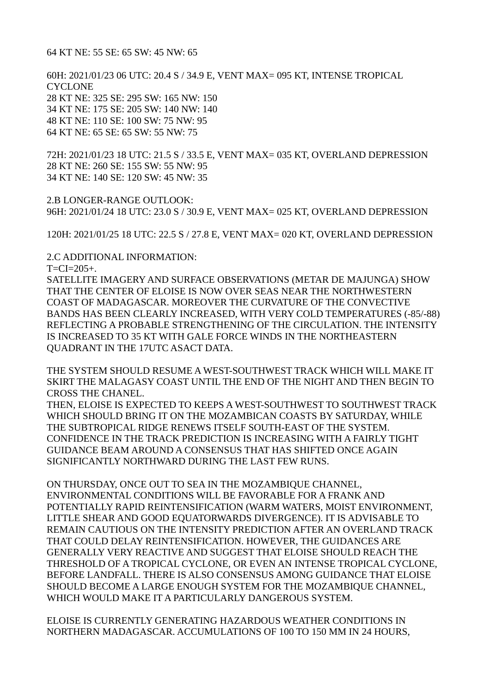64 KT NE: 55 SE: 65 SW: 45 NW: 65

60H: 2021/01/23 06 UTC: 20.4 S / 34.9 E, VENT MAX= 095 KT, INTENSE TROPICAL **CYCLONE** 28 KT NE: 325 SE: 295 SW: 165 NW: 150 34 KT NE: 175 SE: 205 SW: 140 NW: 140 48 KT NE: 110 SE: 100 SW: 75 NW: 95 64 KT NE: 65 SE: 65 SW: 55 NW: 75

72H: 2021/01/23 18 UTC: 21.5 S / 33.5 E, VENT MAX= 035 KT, OVERLAND DEPRESSION 28 KT NE: 260 SE: 155 SW: 55 NW: 95 34 KT NE: 140 SE: 120 SW: 45 NW: 35

2.B LONGER-RANGE OUTLOOK: 96H: 2021/01/24 18 UTC: 23.0 S / 30.9 E, VENT MAX= 025 KT, OVERLAND DEPRESSION

120H: 2021/01/25 18 UTC: 22.5 S / 27.8 E, VENT MAX= 020 KT, OVERLAND DEPRESSION

2.C ADDITIONAL INFORMATION:

 $T=CI=205+$ 

SATELLITE IMAGERY AND SURFACE OBSERVATIONS (METAR DE MAJUNGA) SHOW THAT THE CENTER OF ELOISE IS NOW OVER SEAS NEAR THE NORTHWESTERN COAST OF MADAGASCAR. MOREOVER THE CURVATURE OF THE CONVECTIVE BANDS HAS BEEN CLEARLY INCREASED, WITH VERY COLD TEMPERATURES (-85/-88) REFLECTING A PROBABLE STRENGTHENING OF THE CIRCULATION. THE INTENSITY IS INCREASED TO 35 KT WITH GALE FORCE WINDS IN THE NORTHEASTERN QUADRANT IN THE 17UTC ASACT DATA.

THE SYSTEM SHOULD RESUME A WEST-SOUTHWEST TRACK WHICH WILL MAKE IT SKIRT THE MALAGASY COAST UNTIL THE END OF THE NIGHT AND THEN BEGIN TO CROSS THE CHANEL.

THEN, ELOISE IS EXPECTED TO KEEPS A WEST-SOUTHWEST TO SOUTHWEST TRACK WHICH SHOULD BRING IT ON THE MOZAMBICAN COASTS BY SATURDAY, WHILE THE SUBTROPICAL RIDGE RENEWS ITSELF SOUTH-EAST OF THE SYSTEM. CONFIDENCE IN THE TRACK PREDICTION IS INCREASING WITH A FAIRLY TIGHT GUIDANCE BEAM AROUND A CONSENSUS THAT HAS SHIFTED ONCE AGAIN SIGNIFICANTLY NORTHWARD DURING THE LAST FEW RUNS.

ON THURSDAY, ONCE OUT TO SEA IN THE MOZAMBIQUE CHANNEL, ENVIRONMENTAL CONDITIONS WILL BE FAVORABLE FOR A FRANK AND POTENTIALLY RAPID REINTENSIFICATION (WARM WATERS, MOIST ENVIRONMENT, LITTLE SHEAR AND GOOD EQUATORWARDS DIVERGENCE). IT IS ADVISABLE TO REMAIN CAUTIOUS ON THE INTENSITY PREDICTION AFTER AN OVERLAND TRACK THAT COULD DELAY REINTENSIFICATION. HOWEVER, THE GUIDANCES ARE GENERALLY VERY REACTIVE AND SUGGEST THAT ELOISE SHOULD REACH THE THRESHOLD OF A TROPICAL CYCLONE, OR EVEN AN INTENSE TROPICAL CYCLONE, BEFORE LANDFALL. THERE IS ALSO CONSENSUS AMONG GUIDANCE THAT ELOISE SHOULD BECOME A LARGE ENOUGH SYSTEM FOR THE MOZAMBIQUE CHANNEL, WHICH WOULD MAKE IT A PARTICULARLY DANGEROUS SYSTEM.

ELOISE IS CURRENTLY GENERATING HAZARDOUS WEATHER CONDITIONS IN NORTHERN MADAGASCAR. ACCUMULATIONS OF 100 TO 150 MM IN 24 HOURS,